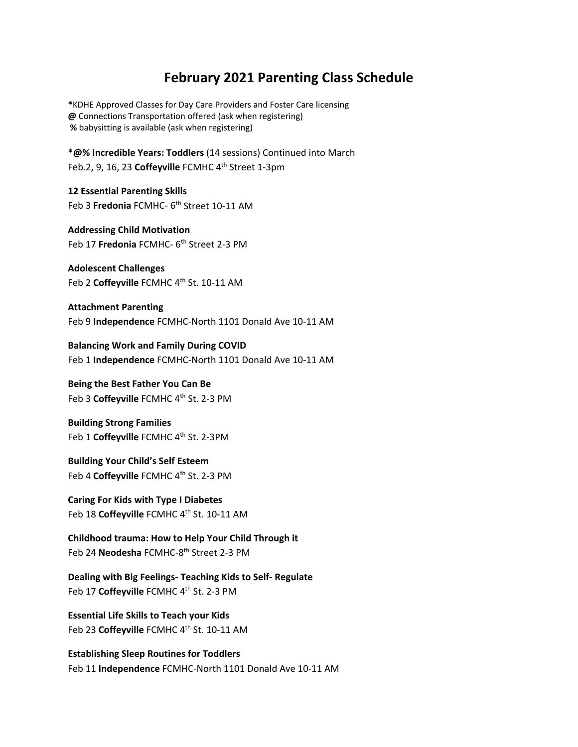## **February 2021 Parenting Class Schedule**

**\***KDHE Approved Classes for Day Care Providers and Foster Care licensing **@** Connections Transportation offered (ask when registering) **%** babysitting is available (ask when registering)

**\*@% Incredible Years: Toddlers** (14 sessions) Continued into March Feb.2, 9, 16, 23 Coffeyville FCMHC 4<sup>th</sup> Street 1-3pm

**12 Essential Parenting Skills** Feb 3 **Fredonia** FCMHC- 6<sup>th</sup> Street 10-11 AM

**Addressing Child Motivation** Feb 17 **Fredonia** FCMHC‐ 6th Street 2‐3 PM

**Adolescent Challenges** Feb 2 Coffeyville FCMHC 4<sup>th</sup> St. 10-11 AM

**Attachment Parenting** Feb 9 **Independence** FCMHC‐North 1101 Donald Ave 10‐11 AM

**Balancing Work and Family During COVID** Feb 1 **Independence** FCMHC‐North 1101 Donald Ave 10‐11 AM

**Being the Best Father You Can Be** Feb 3 Coffeyville FCMHC 4<sup>th</sup> St. 2-3 PM

**Building Strong Families** Feb 1 Coffeyville FCMHC 4<sup>th</sup> St. 2-3PM

**Building Your Child's Self Esteem** Feb 4 **Coffeyville** FCMHC 4<sup>th</sup> St. 2-3 PM

## **Caring For Kids with Type I Diabetes**

Feb 18 Coffeyville FCMHC 4<sup>th</sup> St. 10-11 AM

**Childhood trauma: How to Help Your Child Through it** Feb 24 **Neodesha** FCMHC‐8th Street 2‐3 PM

**Dealing with Big Feelings‐ Teaching Kids to Self‐ Regulate** Feb 17 Coffeyville FCMHC 4<sup>th</sup> St. 2-3 PM

**Essential Life Skills to Teach your Kids** Feb 23 Coffeyville FCMHC 4<sup>th</sup> St. 10-11 AM

**Establishing Sleep Routines for Toddlers** Feb 11 **Independence** FCMHC‐North 1101 Donald Ave 10‐11 AM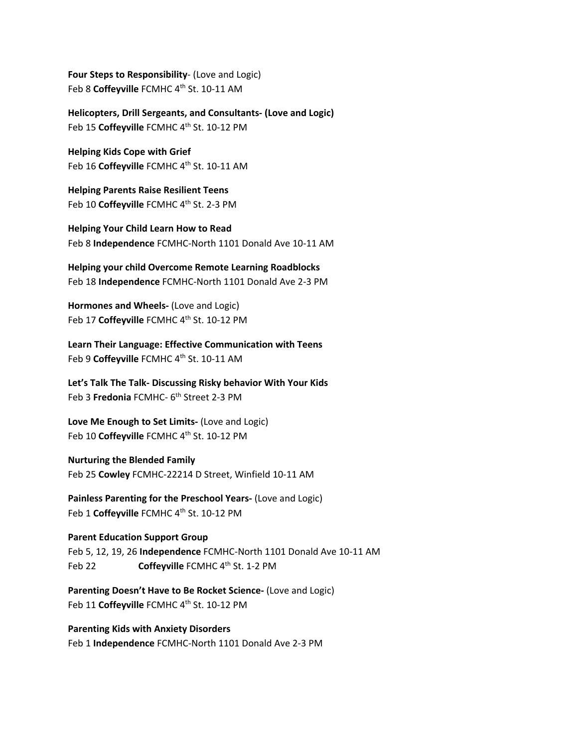**Four Steps to Responsibility**‐ (Love and Logic) Feb 8 Coffeyville FCMHC 4<sup>th</sup> St. 10-11 AM

**Helicopters, Drill Sergeants, and Consultants‐ (Love and Logic)** Feb 15 **Coffeyville** FCMHC 4<sup>th</sup> St. 10-12 PM

**Helping Kids Cope with Grief** Feb 16 Coffeyville FCMHC 4<sup>th</sup> St. 10-11 AM

**Helping Parents Raise Resilient Teens** Feb 10 **Coffeyville** FCMHC 4<sup>th</sup> St. 2-3 PM

**Helping Your Child Learn How to Read** Feb 8 **Independence** FCMHC‐North 1101 Donald Ave 10‐11 AM

**Helping your child Overcome Remote Learning Roadblocks** Feb 18 **Independence** FCMHC‐North 1101 Donald Ave 2‐3 PM

**Hormones and Wheels‐** (Love and Logic) Feb 17 Coffeyville FCMHC 4<sup>th</sup> St. 10-12 PM

**Learn Their Language: Effective Communication with Teens** Feb 9 **Coffeyville** FCMHC 4<sup>th</sup> St. 10-11 AM

**Let's Talk The Talk‐ Discussing Risky behavior With Your Kids** Feb 3 **Fredonia** FCMHC‐ 6th Street 2‐3 PM

**Love Me Enough to Set Limits‐** (Love and Logic) Feb 10 Coffeyville FCMHC 4<sup>th</sup> St. 10-12 PM

**Nurturing the Blended Family** Feb 25 **Cowley** FCMHC‐22214 D Street, Winfield 10‐11 AM

**Painless Parenting for the Preschool Years‐** (Love and Logic) Feb 1 Coffeyville FCMHC 4<sup>th</sup> St. 10-12 PM

## **Parent Education Support Group**

Feb 5, 12, 19, 26 **Independence** FCMHC‐North 1101 Donald Ave 10‐11 AM Feb 22 **Coffeyville** FCMHC 4<sup>th</sup> St. 1-2 PM

**Parenting Doesn't Have to Be Rocket Science‐** (Love and Logic) Feb 11 Coffeyville FCMHC 4<sup>th</sup> St. 10-12 PM

**Parenting Kids with Anxiety Disorders** Feb 1 **Independence** FCMHC‐North 1101 Donald Ave 2‐3 PM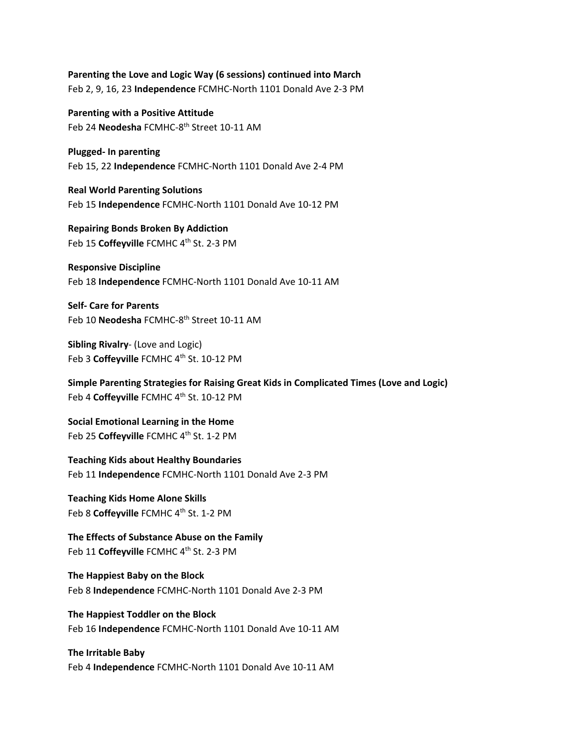**Parenting the Love and Logic Way (6 sessions) continued into March** Feb 2, 9, 16, 23 **Independence** FCMHC‐North 1101 Donald Ave 2‐3 PM

**Parenting with a Positive Attitude** Feb 24 **Neodesha** FCMHC-8<sup>th</sup> Street 10-11 AM

**Plugged‐ In parenting** Feb 15, 22 **Independence** FCMHC‐North 1101 Donald Ave 2‐4 PM

**Real World Parenting Solutions** Feb 15 **Independence** FCMHC‐North 1101 Donald Ave 10‐12 PM

**Repairing Bonds Broken By Addiction** Feb 15 Coffeyville FCMHC 4<sup>th</sup> St. 2-3 PM

**Responsive Discipline** Feb 18 **Independence** FCMHC‐North 1101 Donald Ave 10‐11 AM

**Self‐ Care for Parents** Feb 10 **Neodesha** FCMHC-8<sup>th</sup> Street 10-11 AM

**Sibling Rivalry**‐ (Love and Logic) Feb 3 Coffeyville FCMHC 4<sup>th</sup> St. 10-12 PM

**Simple Parenting Strategies for Raising Great Kids in Complicated Times (Love and Logic)** Feb 4 Coffeyville FCMHC 4<sup>th</sup> St. 10-12 PM

**Social Emotional Learning in the Home** Feb 25 Coffeyville FCMHC 4<sup>th</sup> St. 1-2 PM

**Teaching Kids about Healthy Boundaries** Feb 11 **Independence** FCMHC‐North 1101 Donald Ave 2‐3 PM

**Teaching Kids Home Alone Skills** Feb 8 **Coffeyville** FCMHC 4th St. 1‐2 PM

**The Effects of Substance Abuse on the Family** Feb 11 Coffeyville FCMHC 4<sup>th</sup> St. 2-3 PM

**The Happiest Baby on the Block** Feb 8 **Independence** FCMHC‐North 1101 Donald Ave 2‐3 PM

**The Happiest Toddler on the Block** Feb 16 **Independence** FCMHC‐North 1101 Donald Ave 10‐11 AM

**The Irritable Baby** Feb 4 **Independence** FCMHC‐North 1101 Donald Ave 10‐11 AM